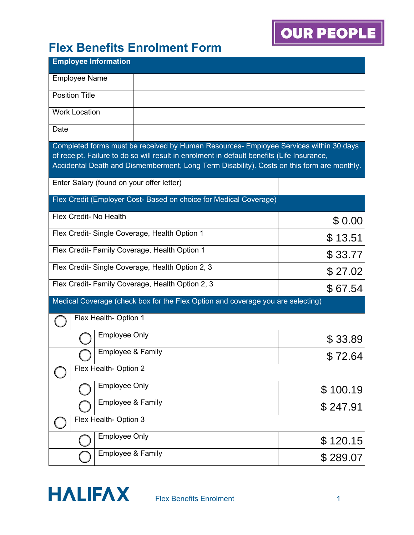| <b>Employee Information</b>                                                                                                                                                         |          |  |  |  |
|-------------------------------------------------------------------------------------------------------------------------------------------------------------------------------------|----------|--|--|--|
| <b>Employee Name</b>                                                                                                                                                                |          |  |  |  |
| <b>Position Title</b>                                                                                                                                                               |          |  |  |  |
| <b>Work Location</b>                                                                                                                                                                |          |  |  |  |
| Date                                                                                                                                                                                |          |  |  |  |
| Completed forms must be received by Human Resources- Employee Services within 30 days<br>of receipt. Failure to do so will result in enrolment in default benefits (Life Insurance, |          |  |  |  |
| Accidental Death and Dismemberment, Long Term Disability). Costs on this form are monthly.                                                                                          |          |  |  |  |
| Enter Salary (found on your offer letter)                                                                                                                                           |          |  |  |  |
| Flex Credit (Employer Cost- Based on choice for Medical Coverage)                                                                                                                   |          |  |  |  |
| Flex Credit- No Health                                                                                                                                                              | \$0.00   |  |  |  |
| Flex Credit- Single Coverage, Health Option 1                                                                                                                                       | \$13.51  |  |  |  |
| Flex Credit- Family Coverage, Health Option 1                                                                                                                                       | \$33.77  |  |  |  |
| Flex Credit-Single Coverage, Health Option 2, 3<br>\$27.02                                                                                                                          |          |  |  |  |
| Flex Credit- Family Coverage, Health Option 2, 3                                                                                                                                    | \$67.54  |  |  |  |
| Medical Coverage (check box for the Flex Option and coverage you are selecting)                                                                                                     |          |  |  |  |
| Flex Health- Option 1                                                                                                                                                               |          |  |  |  |
| <b>Employee Only</b>                                                                                                                                                                | \$33.89  |  |  |  |
| Employee & Family                                                                                                                                                                   | \$72.64  |  |  |  |
| Flex Health- Option 2                                                                                                                                                               |          |  |  |  |
| <b>Employee Only</b>                                                                                                                                                                | \$100.19 |  |  |  |
| Employee & Family                                                                                                                                                                   | \$247.91 |  |  |  |
| Flex Health- Option 3                                                                                                                                                               |          |  |  |  |
| <b>Employee Only</b>                                                                                                                                                                | \$120.15 |  |  |  |
| Employee & Family                                                                                                                                                                   | \$289.07 |  |  |  |

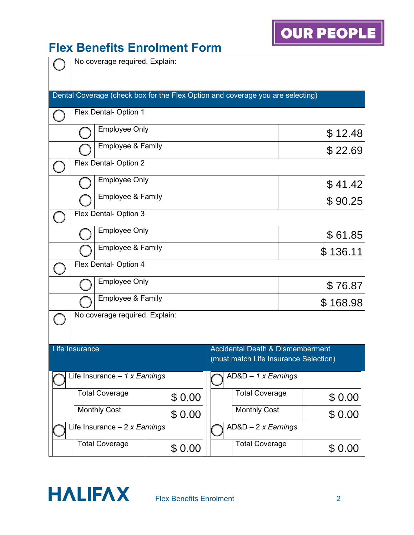#### **Flex Benefits Enrolment Form**

|                                                              | No coverage required. Explain:                 |                                |                                                                                |                                      |                                                                                      |         |         |
|--------------------------------------------------------------|------------------------------------------------|--------------------------------|--------------------------------------------------------------------------------|--------------------------------------|--------------------------------------------------------------------------------------|---------|---------|
|                                                              |                                                |                                | Dental Coverage (check box for the Flex Option and coverage you are selecting) |                                      |                                                                                      |         |         |
|                                                              |                                                | Flex Dental- Option 1          |                                                                                |                                      |                                                                                      |         |         |
|                                                              | <b>Employee Only</b>                           |                                |                                                                                |                                      |                                                                                      |         | \$12.48 |
|                                                              |                                                | Employee & Family              |                                                                                |                                      |                                                                                      |         | \$22.69 |
|                                                              | Flex Dental- Option 2                          |                                |                                                                                |                                      |                                                                                      |         |         |
|                                                              | <b>Employee Only</b>                           |                                |                                                                                |                                      | \$41.42                                                                              |         |         |
|                                                              |                                                | <b>Employee &amp; Family</b>   |                                                                                |                                      |                                                                                      | \$90.25 |         |
|                                                              | Flex Dental- Option 3                          |                                |                                                                                |                                      |                                                                                      |         |         |
|                                                              | <b>Employee Only</b>                           |                                |                                                                                |                                      |                                                                                      | \$61.85 |         |
|                                                              | Employee & Family                              |                                |                                                                                | \$136.11                             |                                                                                      |         |         |
|                                                              | Flex Dental- Option 4                          |                                |                                                                                |                                      |                                                                                      |         |         |
|                                                              |                                                | <b>Employee Only</b>           |                                                                                |                                      |                                                                                      |         | \$76.87 |
|                                                              |                                                | Employee & Family              |                                                                                | \$168.98                             |                                                                                      |         |         |
|                                                              |                                                | No coverage required. Explain: |                                                                                |                                      |                                                                                      |         |         |
|                                                              |                                                |                                |                                                                                |                                      |                                                                                      |         |         |
|                                                              | Life Insurance                                 |                                |                                                                                |                                      | <b>Accidental Death &amp; Dismemberment</b><br>(must match Life Insurance Selection) |         |         |
| Life Insurance $-1$ x Earnings<br>$AD&D - 1 \times Earnings$ |                                                |                                |                                                                                |                                      |                                                                                      |         |         |
|                                                              | <b>Total Coverage</b><br><b>Total Coverage</b> |                                |                                                                                |                                      |                                                                                      |         |         |
|                                                              | \$0.00<br><b>Monthly Cost</b>                  |                                |                                                                                | <b>Monthly Cost</b>                  |                                                                                      | \$0.00  |         |
|                                                              | \$0.00<br>Life Insurance $-2x$ Earnings        |                                |                                                                                | \$0.00<br>$AD&D - 2 \times Earnings$ |                                                                                      |         |         |
| <b>Total Coverage</b><br><b>Total Coverage</b>               |                                                |                                |                                                                                |                                      |                                                                                      |         |         |
|                                                              |                                                |                                | \$0.00                                                                         |                                      |                                                                                      |         | \$0.00  |



**OUR PEOPLE**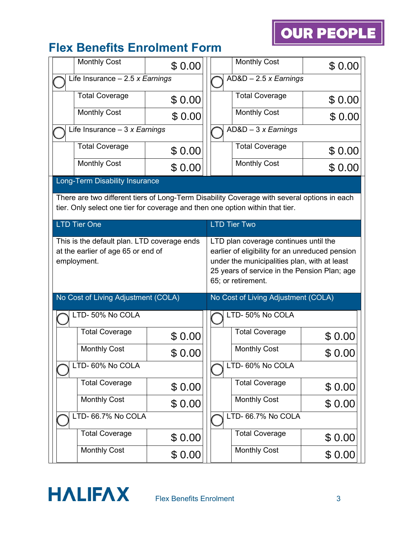| <b>Monthly Cost</b>                                                                  | \$0.00 | Monthly Cost                                                                                    | \$0.00 |  |  |
|--------------------------------------------------------------------------------------|--------|-------------------------------------------------------------------------------------------------|--------|--|--|
| Life Insurance $-2.5$ x Earnings                                                     |        | $AD&D - 2.5 \times Earnings$                                                                    |        |  |  |
| <b>Total Coverage</b>                                                                | \$0.00 | <b>Total Coverage</b>                                                                           | \$0.00 |  |  |
| <b>Monthly Cost</b>                                                                  | \$0.00 | <b>Monthly Cost</b>                                                                             | \$0.00 |  |  |
| Life Insurance $-3x$ Earnings                                                        |        | $AD&D-3x Earnings$                                                                              |        |  |  |
| <b>Total Coverage</b>                                                                | \$0.00 | <b>Total Coverage</b>                                                                           | \$0.00 |  |  |
| <b>Monthly Cost</b>                                                                  | \$0.00 | <b>Monthly Cost</b>                                                                             | \$0.00 |  |  |
| Long-Term Disability Insurance                                                       |        |                                                                                                 |        |  |  |
|                                                                                      |        | There are two different tiers of Long-Term Disability Coverage with several options in each     |        |  |  |
|                                                                                      |        | tier. Only select one tier for coverage and then one option within that tier.                   |        |  |  |
| <b>LTD Tier One</b>                                                                  |        | <b>LTD Tier Two</b>                                                                             |        |  |  |
| This is the default plan. LTD coverage ends<br>LTD plan coverage continues until the |        |                                                                                                 |        |  |  |
| at the earlier of age 65 or end of<br>employment.                                    |        | earlier of eligibility for an unreduced pension<br>under the municipalities plan, with at least |        |  |  |
|                                                                                      |        | 25 years of service in the Pension Plan; age                                                    |        |  |  |
|                                                                                      |        | 65; or retirement.                                                                              |        |  |  |
| No Cost of Living Adjustment (COLA)                                                  |        | No Cost of Living Adjustment (COLA)                                                             |        |  |  |
| LTD-50% No COLA                                                                      |        | LTD-50% No COLA                                                                                 |        |  |  |
| <b>Total Coverage</b>                                                                | \$0.00 | <b>Total Coverage</b>                                                                           | \$0.00 |  |  |
| <b>Monthly Cost</b>                                                                  | \$0.00 | <b>Monthly Cost</b>                                                                             | \$0.00 |  |  |
| LTD- 60% No COLA                                                                     |        |                                                                                                 |        |  |  |
| <b>Total Coverage</b>                                                                | \$0.00 | <b>Total Coverage</b>                                                                           | \$0.00 |  |  |
| <b>Monthly Cost</b>                                                                  | \$0.00 | <b>Monthly Cost</b>                                                                             | \$0.00 |  |  |
| LTD- 66.7% No COLA                                                                   |        | LTD- 66.7% No COLA                                                                              |        |  |  |
| <b>Total Coverage</b>                                                                | \$0.00 | <b>Total Coverage</b>                                                                           | \$0.00 |  |  |
| <b>Monthly Cost</b>                                                                  | \$0.00 | <b>Monthly Cost</b>                                                                             | \$0.00 |  |  |

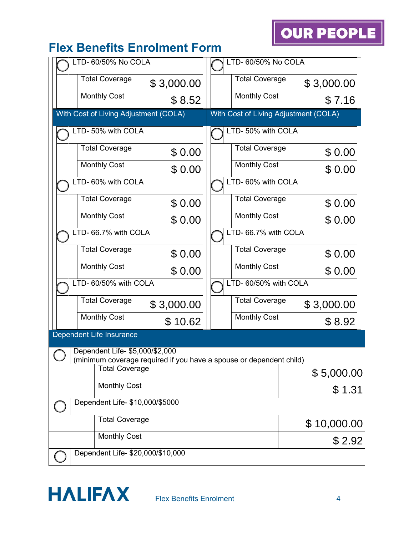| LTD- 60/50% No COLA                   |            | LTD- 60/50% No COLA                                                |             |  |
|---------------------------------------|------------|--------------------------------------------------------------------|-------------|--|
| <b>Total Coverage</b>                 | \$3,000.00 | <b>Total Coverage</b>                                              | \$3,000.00  |  |
| <b>Monthly Cost</b>                   | \$8.52     | <b>Monthly Cost</b>                                                | \$7.16      |  |
| With Cost of Living Adjustment (COLA) |            | With Cost of Living Adjustment (COLA)                              |             |  |
| LTD- 50% with COLA                    |            | LTD- 50% with COLA                                                 |             |  |
| <b>Total Coverage</b>                 | \$0.00     | <b>Total Coverage</b>                                              | \$0.00      |  |
| <b>Monthly Cost</b>                   | \$0.00     | <b>Monthly Cost</b>                                                | \$0.00      |  |
| LTD-60% with COLA                     |            | LTD- 60% with COLA                                                 |             |  |
| <b>Total Coverage</b>                 | \$0.00     | <b>Total Coverage</b>                                              | \$0.00      |  |
| <b>Monthly Cost</b>                   | \$0.00     | <b>Monthly Cost</b>                                                | \$0.00      |  |
| LTD- 66.7% with COLA                  |            | LTD- 66.7% with COLA                                               |             |  |
| <b>Total Coverage</b>                 | \$0.00     | <b>Total Coverage</b>                                              | \$0.00      |  |
| <b>Monthly Cost</b>                   | \$0.00     | <b>Monthly Cost</b>                                                | \$0.00      |  |
| LTD- 60/50% with COLA                 |            | LTD- 60/50% with COLA                                              |             |  |
| <b>Total Coverage</b>                 | \$3,000.00 | <b>Total Coverage</b>                                              | \$3,000.00  |  |
| <b>Monthly Cost</b>                   | \$10.62    | <b>Monthly Cost</b>                                                | \$8.92      |  |
| Dependent Life Insurance              |            |                                                                    |             |  |
| Dependent Life- \$5,000/\$2,000       |            | minimum coverage required if you have a spouse or dependent child) |             |  |
| <b>Total Coverage</b>                 |            |                                                                    | \$5,000.00  |  |
| <b>Monthly Cost</b>                   |            |                                                                    | \$1.31      |  |
| Dependent Life- \$10,000/\$5000       |            |                                                                    |             |  |
| <b>Total Coverage</b>                 |            |                                                                    | \$10,000.00 |  |
| <b>Monthly Cost</b>                   |            |                                                                    | \$2.92      |  |
| Dependent Life- \$20,000/\$10,000     |            |                                                                    |             |  |